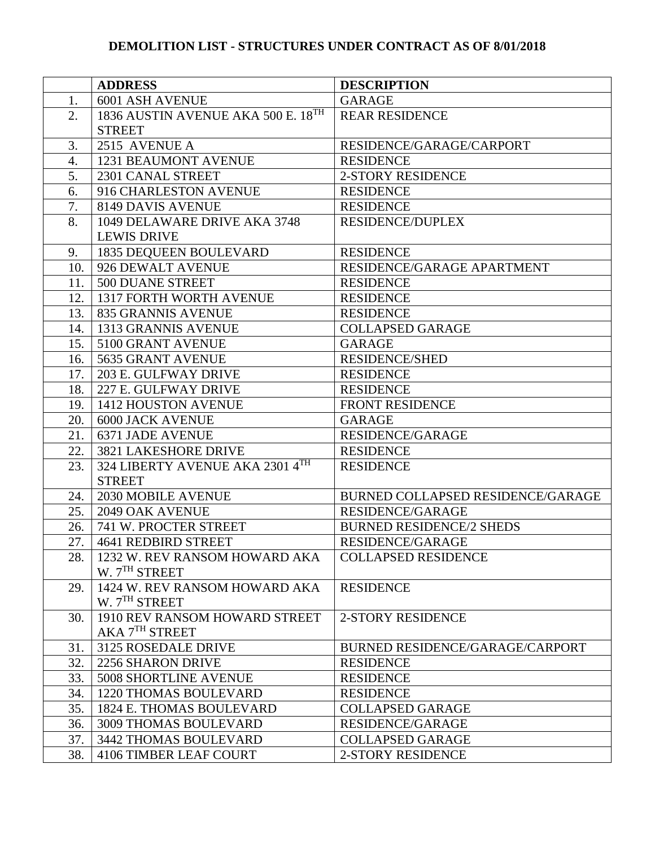|                  | <b>ADDRESS</b>                     | <b>DESCRIPTION</b>                       |
|------------------|------------------------------------|------------------------------------------|
| 1.               | 6001 ASH AVENUE                    | <b>GARAGE</b>                            |
| 2.               | 1836 AUSTIN AVENUE AKA 500 E. 18TH | <b>REAR RESIDENCE</b>                    |
|                  | <b>STREET</b>                      |                                          |
| 3.               | 2515 AVENUE A                      | RESIDENCE/GARAGE/CARPORT                 |
| $\overline{4}$ . | 1231 BEAUMONT AVENUE               | <b>RESIDENCE</b>                         |
| 5.               | 2301 CANAL STREET                  | <b>2-STORY RESIDENCE</b>                 |
| 6.               | 916 CHARLESTON AVENUE              | <b>RESIDENCE</b>                         |
| 7.               | 8149 DAVIS AVENUE                  | <b>RESIDENCE</b>                         |
| 8.               | 1049 DELAWARE DRIVE AKA 3748       | <b>RESIDENCE/DUPLEX</b>                  |
|                  | <b>LEWIS DRIVE</b>                 |                                          |
| 9.               | 1835 DEQUEEN BOULEVARD             | <b>RESIDENCE</b>                         |
| 10.              | 926 DEWALT AVENUE                  | RESIDENCE/GARAGE APARTMENT               |
| 11.              | 500 DUANE STREET                   | <b>RESIDENCE</b>                         |
| 12.              | <b>1317 FORTH WORTH AVENUE</b>     | <b>RESIDENCE</b>                         |
| 13.              | 835 GRANNIS AVENUE                 | <b>RESIDENCE</b>                         |
|                  | 14.   1313 GRANNIS AVENUE          | <b>COLLAPSED GARAGE</b>                  |
| 15.              | 5100 GRANT AVENUE                  | <b>GARAGE</b>                            |
| 16.              | 5635 GRANT AVENUE                  | <b>RESIDENCE/SHED</b>                    |
| 17.              | 203 E. GULFWAY DRIVE               | <b>RESIDENCE</b>                         |
| 18.              | 227 E. GULFWAY DRIVE               | <b>RESIDENCE</b>                         |
| 19.              | 1412 HOUSTON AVENUE                | FRONT RESIDENCE                          |
| 20.              | <b>6000 JACK AVENUE</b>            | <b>GARAGE</b>                            |
| 21.              | <b>6371 JADE AVENUE</b>            | <b>RESIDENCE/GARAGE</b>                  |
| 22.              | <b>3821 LAKESHORE DRIVE</b>        | <b>RESIDENCE</b>                         |
| 23.              | 324 LIBERTY AVENUE AKA 2301 4TH    | <b>RESIDENCE</b>                         |
|                  | <b>STREET</b>                      |                                          |
| 24.              | 2030 MOBILE AVENUE                 | <b>BURNED COLLAPSED RESIDENCE/GARAGE</b> |
| 25.              | 2049 OAK AVENUE                    | <b>RESIDENCE/GARAGE</b>                  |
| 26.              | 741 W. PROCTER STREET              | <b>BURNED RESIDENCE/2 SHEDS</b>          |
| 27.              | <b>4641 REDBIRD STREET</b>         | RESIDENCE/GARAGE                         |
| 28.              | 1232 W. REV RANSOM HOWARD AKA      | <b>COLLAPSED RESIDENCE</b>               |
|                  | W. 7 <sup>TH</sup> STREET          |                                          |
| 29.              | 1424 W. REV RANSOM HOWARD AKA      | <b>RESIDENCE</b>                         |
|                  | W. 7 <sup>TH</sup> STREET          |                                          |
| 30.              | 1910 REV RANSOM HOWARD STREET      | <b>2-STORY RESIDENCE</b>                 |
|                  | AKA 7TH STREET                     |                                          |
| 31.              | 3125 ROSEDALE DRIVE                | BURNED RESIDENCE/GARAGE/CARPORT          |
| 32.              | 2256 SHARON DRIVE                  | <b>RESIDENCE</b>                         |
| 33.              | <b>5008 SHORTLINE AVENUE</b>       | <b>RESIDENCE</b>                         |
| 34.              | <b>1220 THOMAS BOULEVARD</b>       | <b>RESIDENCE</b>                         |
| 35.              | 1824 E. THOMAS BOULEVARD           | <b>COLLAPSED GARAGE</b>                  |
| 36.              | 3009 THOMAS BOULEVARD              | <b>RESIDENCE/GARAGE</b>                  |
| 37.              | 3442 THOMAS BOULEVARD              | <b>COLLAPSED GARAGE</b>                  |
| 38.              | 4106 TIMBER LEAF COURT             | <b>2-STORY RESIDENCE</b>                 |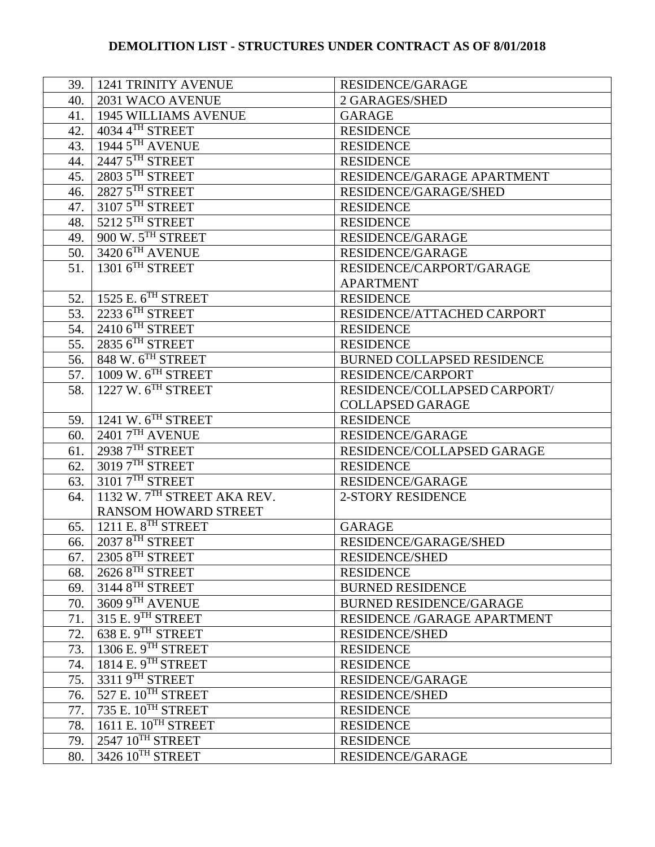|     | 39.   1241 TRINITY AVENUE      | <b>RESIDENCE/GARAGE</b>           |
|-----|--------------------------------|-----------------------------------|
| 40. | 2031 WACO AVENUE               | 2 GARAGES/SHED                    |
| 41. | <b>1945 WILLIAMS AVENUE</b>    | <b>GARAGE</b>                     |
| 42. | 4034 4TH STREET                | <b>RESIDENCE</b>                  |
| 43. | 1944 5TH AVENUE                | <b>RESIDENCE</b>                  |
| 44. | 2447 5TH STREET                | <b>RESIDENCE</b>                  |
| 45. | 2803 5TH STREET                | RESIDENCE/GARAGE APARTMENT        |
| 46. | 2827 5TH STREET                | RESIDENCE/GARAGE/SHED             |
| 47. | 3107 5TH STREET                | <b>RESIDENCE</b>                  |
| 48. | 5212 5TH STREET                | <b>RESIDENCE</b>                  |
| 49. | 900 W. 5TH STREET              | <b>RESIDENCE/GARAGE</b>           |
| 50. | 3420 6TH AVENUE                | <b>RESIDENCE/GARAGE</b>           |
| 51. | 1301 6TH STREET                | RESIDENCE/CARPORT/GARAGE          |
|     |                                | <b>APARTMENT</b>                  |
| 52. | 1525 E. 6 <sup>TH</sup> STREET | <b>RESIDENCE</b>                  |
| 53. | 2233 6TH STREET                | RESIDENCE/ATTACHED CARPORT        |
| 54. | $2410$ $6^{TH}$ STREET         | <b>RESIDENCE</b>                  |
| 55. | $2835$ $6^{TH}$ STREET         | <b>RESIDENCE</b>                  |
| 56. | 848 W. $6TH$ STREET            | <b>BURNED COLLAPSED RESIDENCE</b> |
| 57. | 1009 W. $6TH$ STREET           | <b>RESIDENCE/CARPORT</b>          |
| 58. | 1227 W. $6TH$ STREET           | RESIDENCE/COLLAPSED CARPORT/      |
|     |                                | <b>COLLAPSED GARAGE</b>           |
| 59. | 1241 W. $6TH$ STREET           | <b>RESIDENCE</b>                  |
| 60. | $24017^{\text{TH}}$ AVENUE     | <b>RESIDENCE/GARAGE</b>           |
| 61. | 2938 7TH STREET                | RESIDENCE/COLLAPSED GARAGE        |
| 62. | 3019 7TH STREET                | <b>RESIDENCE</b>                  |
| 63. | 3101 7TH STREET                | <b>RESIDENCE/GARAGE</b>           |
| 64. | 1132 W. 7TH STREET AKA REV.    | <b>2-STORY RESIDENCE</b>          |
|     | <b>RANSOM HOWARD STREET</b>    |                                   |
| 65. | 1211 E. 8 <sup>TH</sup> STREET | <b>GARAGE</b>                     |
| 66. | 2037 8TH STREET                | RESIDENCE/GARAGE/SHED             |
| 67. | $23058$ <sup>TH</sup> STREET   | RESIDENCE/SHED                    |
| 68. | $2626$ $8TH$ STREET            | <b>RESIDENCE</b>                  |
| 69. | 3144 8TH STREET                | <b>BURNED RESIDENCE</b>           |
| 70. | 3609 9TH AVENUE                | <b>BURNED RESIDENCE/GARAGE</b>    |
| 71. | $315$ E. $9^{TH}$ STREET       | RESIDENCE /GARAGE APARTMENT       |
| 72. | 638 E. 9TH STREET              | <b>RESIDENCE/SHED</b>             |
| 73. | 1306 E. 9TH STREET             | <b>RESIDENCE</b>                  |
| 74. | 1814 E. $9TH$ STREET           | <b>RESIDENCE</b>                  |
| 75. | $33119$ <sup>TH</sup> STREET   | <b>RESIDENCE/GARAGE</b>           |
| 76. | 527 E. $10^{TH}$ STREET        | <b>RESIDENCE/SHED</b>             |
| 77. | 735 E. 10TH STREET             | <b>RESIDENCE</b>                  |
| 78. | 1611 E. $10^{TH}$ STREET       | <b>RESIDENCE</b>                  |
| 79. | 2547 10TH STREET               | <b>RESIDENCE</b>                  |
| 80. | 3426 10TH STREET               | <b>RESIDENCE/GARAGE</b>           |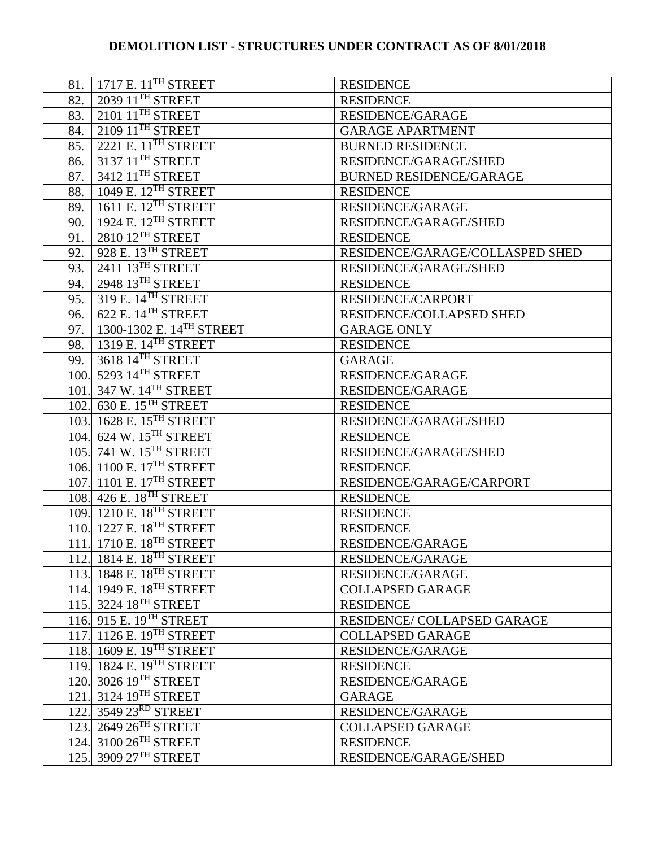| 81.  | 1717 E. 11 <sup>TH</sup> STREET      | <b>RESIDENCE</b>                |
|------|--------------------------------------|---------------------------------|
| 82.  | 2039 11 <sup>TH</sup> STREET         | <b>RESIDENCE</b>                |
| 83.  | 2101 11 <sup>TH</sup> STREET         | <b>RESIDENCE/GARAGE</b>         |
| 84.  | $210911$ <sup>TH</sup> STREET        | <b>GARAGE APARTMENT</b>         |
| 85.  | 2221 E. 11 <sup>TH</sup> STREET      | <b>BURNED RESIDENCE</b>         |
| 86.  | 3137 11 <sup>TH</sup> STREET         | RESIDENCE/GARAGE/SHED           |
| 87.  | 3412 11 <sup>TH</sup> STREET         | <b>BURNED RESIDENCE/GARAGE</b>  |
| 88.  | 1049 E. 12TH STREET                  | <b>RESIDENCE</b>                |
| 89.  | 1611 E. $12^{TH}$ STREET             | <b>RESIDENCE/GARAGE</b>         |
| 90.  | 1924 E. 12 <sup>TH</sup> STREET      | RESIDENCE/GARAGE/SHED           |
| 91.  | 2810 12TH STREET                     | <b>RESIDENCE</b>                |
| 92.  | 928 E. 13TH STREET                   | RESIDENCE/GARAGE/COLLASPED SHED |
| 93.  | 2411 13TH STREET                     | RESIDENCE/GARAGE/SHED           |
| 94.  | 2948 13TH STREET                     | <b>RESIDENCE</b>                |
| 95.  | 319 E. 14 <sup>TH</sup> STREET       | <b>RESIDENCE/CARPORT</b>        |
| 96.  | 622 E. $14$ <sup>TH</sup> STREET     | RESIDENCE/COLLAPSED SHED        |
| 97.  | 1300-1302 E. 14 <sup>TH</sup> STREET | <b>GARAGE ONLY</b>              |
| 98.  | 1319 E. 14 <sup>TH</sup> STREET      | <b>RESIDENCE</b>                |
| 99.  | 3618 14TH STREET                     | <b>GARAGE</b>                   |
|      | 100. 5293 14TH STREET                | <b>RESIDENCE/GARAGE</b>         |
| 101. | $347$ W. $14$ <sup>TH</sup> STREET   | <b>RESIDENCE/GARAGE</b>         |
|      | 102. 630 E. 15 <sup>TH</sup> STREET  | <b>RESIDENCE</b>                |
|      | 103. 1628 E. 15 <sup>TH</sup> STREET | RESIDENCE/GARAGE/SHED           |
|      | 104. 624 W. 15 <sup>TH</sup> STREET  | <b>RESIDENCE</b>                |
|      | 105. 741 W. 15 <sup>TH</sup> STREET  | RESIDENCE/GARAGE/SHED           |
|      | 106. 1100 E. 17 <sup>TH</sup> STREET | <b>RESIDENCE</b>                |
|      | 107. 1101 E. 17 <sup>TH</sup> STREET | RESIDENCE/GARAGE/CARPORT        |
|      | 108. 426 E. 18 <sup>TH</sup> STREET  | <b>RESIDENCE</b>                |
|      | 109. 1210 E. 18 <sup>TH</sup> STREET | <b>RESIDENCE</b>                |
|      | 110. 1227 E. 18 <sup>TH</sup> STREET | <b>RESIDENCE</b>                |
|      | 111. 1710 E. 18 <sup>TH</sup> STREET | <b>RESIDENCE/GARAGE</b>         |
|      | 112. 1814 E. 18 <sup>TH</sup> STREET | <b>RESIDENCE/GARAGE</b>         |
|      | 113. 1848 E. 18 <sup>TH</sup> STREET | RESIDENCE/GARAGE                |
|      | 114. 1949 E. 18 <sup>TH</sup> STREET | <b>COLLAPSED GARAGE</b>         |
|      | 115. 3224 18 <sup>TH</sup> STREET    | <b>RESIDENCE</b>                |
|      | 116. 915 E. 19 <sup>TH</sup> STREET  | RESIDENCE/COLLAPSED GARAGE      |
|      | 117. 1126 E. 19 <sup>TH</sup> STREET | <b>COLLAPSED GARAGE</b>         |
|      | 118. 1609 E. 19 <sup>TH</sup> STREET | <b>RESIDENCE/GARAGE</b>         |
|      | 119. 1824 E. 19 <sup>TH</sup> STREET | <b>RESIDENCE</b>                |
|      | 120. 3026 19 <sup>TH</sup> STREET    | <b>RESIDENCE/GARAGE</b>         |
|      | 121. 3124 19 <sup>TH</sup> STREET    | <b>GARAGE</b>                   |
|      | 122. 3549 23RD STREET                | <b>RESIDENCE/GARAGE</b>         |
|      | 123. 2649 26 <sup>TH</sup> STREET    | <b>COLLAPSED GARAGE</b>         |
|      | 124. 3100 26 <sup>TH</sup> STREET    | <b>RESIDENCE</b>                |
|      | 125. 3909 27TH STREET                | RESIDENCE/GARAGE/SHED           |